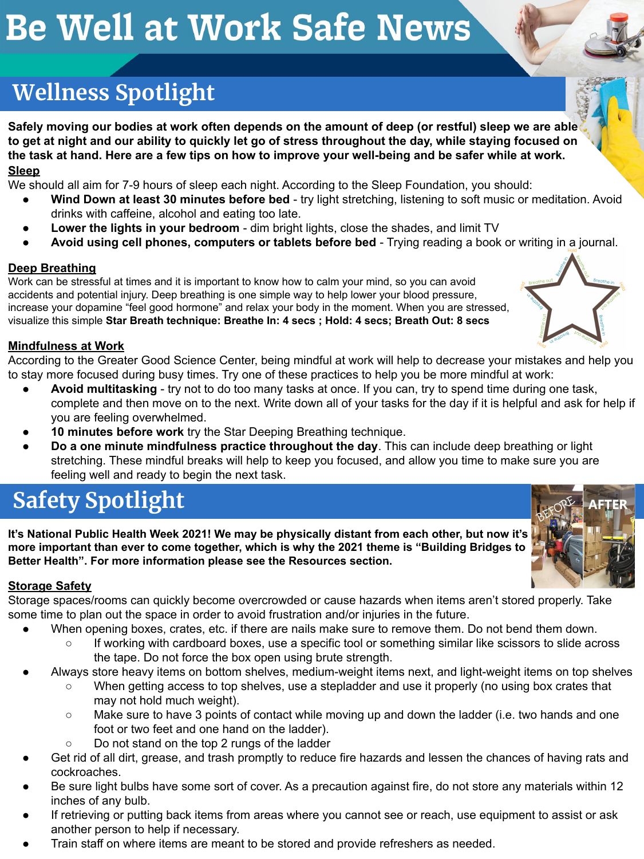# **Be Well at Work Safe News**

# **Wellness Spotlight**

**Safely moving our bodies at work often depends on the amount of deep (or restful) sleep we are able to get at night and our ability to quickly let go of stress throughout the day, while staying focused on the task at hand. Here are a few tips on how to improve your well-being and be safer while at work.**

#### **Sleep**

We should all aim for 7-9 hours of sleep each night. According to the Sleep Foundation, you should:

- **Wind Down at least 30 minutes before bed** try light stretching, listening to soft music or meditation. Avoid drinks with caffeine, alcohol and eating too late.
- **Lower the lights in your bedroom** dim bright lights, close the shades, and limit TV
- **Avoid using cell phones, computers or tablets before bed**  Trying reading a book or writing in a journal.

#### **Deep Breathing**

Work can be stressful at times and it is important to know how to calm your mind, so you can avoid accidents and potential injury. Deep breathing is one simple way to help lower your blood pressure, increase your dopamine "feel good hormone" and relax your body in the moment. When you are stressed, visualize this simple **Star Breath technique: Breathe In: 4 secs ; Hold: 4 secs; Breath Out: 8 secs**

#### **Mindfulness at Work**

According to the Greater Good Science Center, being mindful at work will help to decrease your mistakes and help you to stay more focused during busy times. Try one of these practices to help you be more mindful at work:

- **Avoid multitasking** try not to do too many tasks at once. If you can, try to spend time during one task, complete and then move on to the next. Write down all of your tasks for the day if it is helpful and ask for help if you are feeling overwhelmed.
- **10 minutes before work** try the Star Deeping Breathing technique.
- **Do a one minute mindfulness practice throughout the day**. This can include deep breathing or light stretching. These mindful breaks will help to keep you focused, and allow you time to make sure you are feeling well and ready to begin the next task.

# **Safety Spotlight**

**It's National Public Health Week 2021! We may be physically distant from each other, but now it's more important than ever to come together, which is why the 2021 theme is "Building Bridges to Better Health". For more information please see the Resources section.**

#### **Storage Safety**

Storage spaces/rooms can quickly become overcrowded or cause hazards when items aren't stored properly. Take some time to plan out the space in order to avoid frustration and/or injuries in the future.

- When opening boxes, crates, etc. if there are nails make sure to remove them. Do not bend them down.
	- If working with cardboard boxes, use a specific tool or something similar like scissors to slide across the tape. Do not force the box open using brute strength.
- Always store heavy items on bottom shelves, medium-weight items next, and light-weight items on top shelves
	- When getting access to top shelves, use a stepladder and use it properly (no using box crates that may not hold much weight).
	- Make sure to have 3 points of contact while moving up and down the ladder (i.e. two hands and one foot or two feet and one hand on the ladder).
	- Do not stand on the top 2 rungs of the ladder
- Get rid of all dirt, grease, and trash promptly to reduce fire hazards and lessen the chances of having rats and cockroaches.
- Be sure light bulbs have some sort of cover. As a precaution against fire, do not store any materials within 12 inches of any bulb.
- If retrieving or putting back items from areas where you cannot see or reach, use equipment to assist or ask another person to help if necessary.
- Train staff on where items are meant to be stored and provide refreshers as needed.





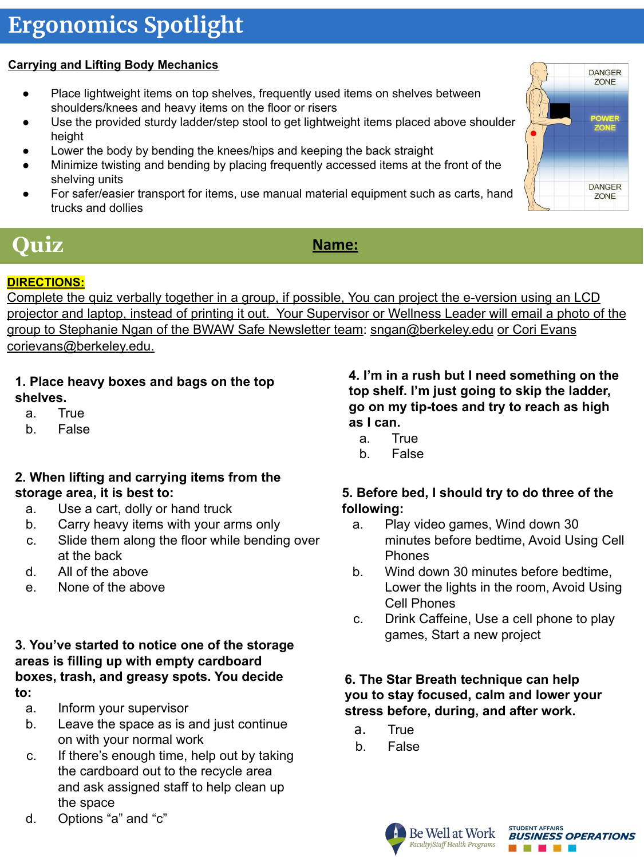# **Ergonomics Spotlight**

### **Carrying and Lifting Body Mechanics**

- Place lightweight items on top shelves, frequently used items on shelves between shoulders/knees and heavy items on the floor or risers
- Use the provided sturdy ladder/step stool to get lightweight items placed above shoulder height
- Lower the body by bending the knees/hips and keeping the back straight
- Minimize twisting and bending by placing frequently accessed items at the front of the shelving units
- For safer/easier transport for items, use manual material equipment such as carts, hand trucks and dollies



# *Quiz Name:*

#### **DIRECTIONS:**

Complete the quiz verbally together in a group, if possible, You can project the e-version using an LCD projector and laptop, instead of printing it out. Your Supervisor or Wellness Leader will email a photo of the group to Stephanie Ngan of the BWAW Safe Newsletter team: [sngan@berkeley.edu](mailto:sngan@berkeley.edu) or Cori Evans corievans@berkeley.edu.

- **1. Place heavy boxes and bags on the top shelves.**
	- a. True
	- b. False

#### **2. When lifting and carrying items from the storage area, it is best to:**

- a. Use a cart, dolly or hand truck
- b. Carry heavy items with your arms only
- c. Slide them along the floor while bending over at the back
- d. All of the above
- e. None of the above

#### **3. You've started to notice one of the storage areas is filling up with empty cardboard boxes, trash, and greasy spots. You decide to:**

- a. Inform your supervisor
- b. Leave the space as is and just continue on with your normal work
- c. If there's enough time, help out by taking the cardboard out to the recycle area and ask assigned staff to help clean up the space
- d. Options "a" and "c"

**4. I'm in a rush but I need something on the top shelf. I'm just going to skip the ladder, go on my tip-toes and try to reach as high as I can.**

- a. True
- b. False

#### **5. Before bed, I should try to do three of the following:**

- a. Play video games, Wind down 30 minutes before bedtime, Avoid Using Cell Phones
- b. Wind down 30 minutes before bedtime, Lower the lights in the room, Avoid Using Cell Phones
- c. Drink Caffeine, Use a cell phone to play games, Start a new project

#### **6. The Star Breath technique can help you to stay focused, calm and lower your stress before, during, and after work.**

- a. True
- b. False



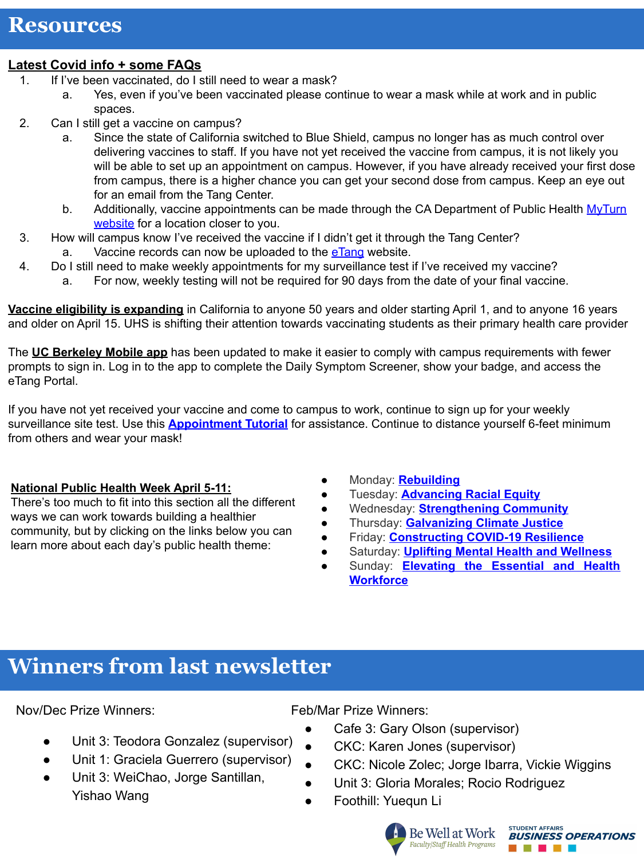### **Resources**

#### **Latest Covid info + some FAQs**

- 1. If I've been vaccinated, do I still need to wear a mask?
	- a. Yes, even if you've been vaccinated please continue to wear a mask while at work and in public spaces.
- 2. Can I still get a vaccine on campus?
	- a. Since the state of California switched to Blue Shield, campus no longer has as much control over delivering vaccines to staff. If you have not yet received the vaccine from campus, it is not likely you will be able to set up an appointment on campus. However, if you have already received your first dose from campus, there is a higher chance you can get your second dose from campus. Keep an eye out for an email from the Tang Center.
	- b. Additionally, vaccine appointments can be made through the CA Department of Public Health [MyTurn](https://myturn.ca.gov/) [website](https://myturn.ca.gov/) for a location closer to you.
- 3. How will campus know I've received the vaccine if I didn't get it through the Tang Center? a. Vaccine records can now be uploaded to the [eTang](https://berkeley.us1.list-manage.com/track/click?u=646f20d1372fb21b168a9f006&id=38901954de&e=c27fda401d) website.
- 4. Do I still need to make weekly appointments for my surveillance test if I've received my vaccine?
	- a. For now, weekly testing will not be required for 90 days from the date of your final vaccine.

**[Vaccine eligibility is expanding](https://berkeley.us1.list-manage.com/track/click?u=646f20d1372fb21b168a9f006&id=350662a198&e=c27fda401d)** in California to anyone 50 years and older starting April 1, and to anyone 16 years and older on April 15. UHS is shifting their attention towards vaccinating students as their primary health care provider

The **[UC Berkeley Mobile app](https://berkeley.us1.list-manage.com/track/click?u=646f20d1372fb21b168a9f006&id=7f3bdff8ab&e=c27fda401d)** has been updated to make it easier to comply with campus requirements with fewer prompts to sign in. Log in to the app to complete the Daily Symptom Screener, show your badge, and access the eTang Portal.

If you have not yet received your vaccine and come to campus to work, continue to sign up for your weekly surveillance site test. Use this **[Appointment Tutorial](https://drive.google.com/file/d/1ZgBrhuvodBd7wTqycDGMiZUDP4lXbmHh/view?usp=sharing)** for assistance. Continue to distance yourself 6-feet minimum from others and wear your mask!

### **National Public Health Week April 5-11:**

There's too much to fit into this section all the different ways we can work towards building a healthier community, but by clicking on the links below you can learn more about each day's public health theme:

- Monday: **[Rebuilding](http://www.nphw.org/NPHW-2021/Rebuilding)**
- Tuesday: **[Advancing Racial Equity](http://www.nphw.org/NPHW-2021/Racial-Equity)**
- Wednesday: **[Strengthening Community](http://www.nphw.org/NPHW-2021/Strengthening-Community)**
- Thursday: **[Galvanizing Climate Justice](http://www.nphw.org/NPHW-2021/Climate-Justice)**
- Friday: **[Constructing COVID-19 Resilience](http://www.nphw.org/NPHW-2021/COVID-19-Resilience)**
- **Saturday: [Uplifting Mental Health and Wellness](http://www.nphw.org/NPHW-2021/Mental-Health-and-Wellness)**
- Sunday: **[Elevating the Essential and Health](http://www.nphw.org/NPHW-2021/Elevating-Workforce) [Workforce](http://www.nphw.org/NPHW-2021/Elevating-Workforce)**

# **Winners from last newsletter**

Nov/Dec Prize Winners:

- Unit 3: Teodora Gonzalez (supervisor)
- Unit 1: Graciela Guerrero (supervisor)
- Unit 3: WeiChao, Jorge Santillan, Yishao Wang

Feb/Mar Prize Winners:

- Cafe 3: Gary Olson (supervisor)
	- CKC: Karen Jones (supervisor)
- CKC: Nicole Zolec; Jorge Ibarra, Vickie Wiggins
- Unit 3: Gloria Morales; Rocio Rodriguez
- Foothill: Yuequn Li

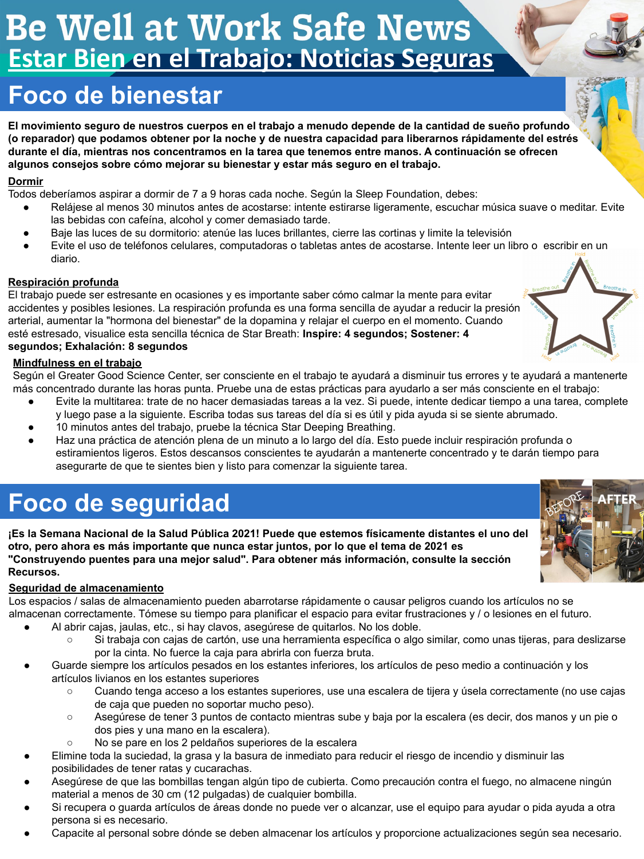# Be Well at Work Safe News **Estar Bien en el Trabajo: Noticias Seguras**

# **Foco de bienestar**

**El movimiento seguro de nuestros cuerpos en el trabajo a menudo depende de la cantidad de sueño profundo (o reparador) que podamos obtener por la noche y de nuestra capacidad para liberarnos rápidamente del estrés durante el día, mientras nos concentramos en la tarea que tenemos entre manos. A continuación se ofrecen algunos consejos sobre cómo mejorar su bienestar y estar más seguro en el trabajo.**

#### **Dormir**

Todos deberíamos aspirar a dormir de 7 a 9 horas cada noche. Según la Sleep Foundation, debes:

- Relájese al menos 30 minutos antes de acostarse: intente estirarse ligeramente, escuchar música suave o meditar. Evite las bebidas con cafeína, alcohol y comer demasiado tarde.
- Baje las luces de su dormitorio: atenúe las luces brillantes, cierre las cortinas y limite la televisión
- Evite el uso de teléfonos celulares, computadoras o tabletas antes de acostarse. Intente leer un libro o escribir en un diario.

#### **Respiración profunda**

El trabajo puede ser estresante en ocasiones y es importante saber cómo calmar la mente para evitar accidentes y posibles lesiones. La respiración profunda es una forma sencilla de ayudar a reducir la presión arterial, aumentar la "hormona del bienestar" de la dopamina y relajar el cuerpo en el momento. Cuando esté estresado, visualice esta sencilla técnica de Star Breath: **Inspire: 4 segundos; Sostener: 4 segundos; Exhalación: 8 segundos**

#### **Mindfulness en el trabajo**

Según el Greater Good Science Center, ser consciente en el trabajo te ayudará a disminuir tus errores y te ayudará a mantenerte más concentrado durante las horas punta. Pruebe una de estas prácticas para ayudarlo a ser más consciente en el trabajo:

- Evite la multitarea: trate de no hacer demasiadas tareas a la vez. Si puede, intente dedicar tiempo a una tarea, complete y luego pase a la siguiente. Escriba todas sus tareas del día si es útil y pida ayuda si se siente abrumado.
- 10 minutos antes del trabajo, pruebe la técnica Star Deeping Breathing.
- Haz una práctica de atención plena de un minuto a lo largo del día. Esto puede incluir respiración profunda o estiramientos ligeros. Estos descansos conscientes te ayudarán a mantenerte concentrado y te darán tiempo para asegurarte de que te sientes bien y listo para comenzar la siguiente tarea.

# **Foco de seguridad**

**¡Es la Semana Nacional de la Salud Pública 2021! Puede que estemos físicamente distantes el uno del otro, pero ahora es más importante que nunca estar juntos, por lo que el tema de 2021 es "Construyendo puentes para una mejor salud". Para obtener más información, consulte la sección Recursos.**

#### **Seguridad de almacenamiento**

Los espacios / salas de almacenamiento pueden abarrotarse rápidamente o causar peligros cuando los artículos no se almacenan correctamente. Tómese su tiempo para planificar el espacio para evitar frustraciones y / o lesiones en el futuro.

- Al abrir cajas, jaulas, etc., si hay clavos, asegúrese de quitarlos. No los doble.
	- Si trabaja con cajas de cartón, use una herramienta específica o algo similar, como unas tijeras, para deslizarse por la cinta. No fuerce la caja para abrirla con fuerza bruta.
- Guarde siempre los artículos pesados en los estantes inferiores, los artículos de peso medio a continuación y los artículos livianos en los estantes superiores
	- Cuando tenga acceso a los estantes superiores, use una escalera de tijera y úsela correctamente (no use cajas de caja que pueden no soportar mucho peso).
	- Asegúrese de tener 3 puntos de contacto mientras sube y baja por la escalera (es decir, dos manos y un pie o dos pies y una mano en la escalera).
	- No se pare en los 2 peldaños superiores de la escalera
- Elimine toda la suciedad, la grasa y la basura de inmediato para reducir el riesgo de incendio y disminuir las posibilidades de tener ratas y cucarachas.
- Asegúrese de que las bombillas tengan algún tipo de cubierta. Como precaución contra el fuego, no almacene ningún material a menos de 30 cm (12 pulgadas) de cualquier bombilla.
- Si recupera o guarda artículos de áreas donde no puede ver o alcanzar, use el equipo para ayudar o pida ayuda a otra persona si es necesario.
- Capacite al personal sobre dónde se deben almacenar los artículos y proporcione actualizaciones según sea necesario.



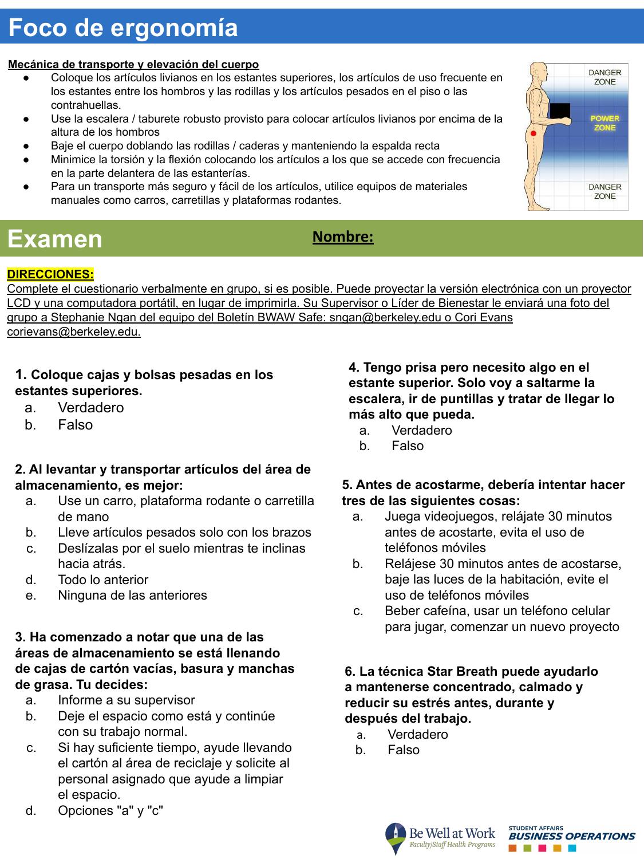# **Foco de ergonomía**

#### **Mecánica de transporte y elevación del cuerpo**

- Coloque los artículos livianos en los estantes superiores, los artículos de uso frecuente en los estantes entre los hombros y las rodillas y los artículos pesados en el piso o las contrahuellas.
- Use la escalera / taburete robusto provisto para colocar artículos livianos por encima de la altura de los hombros
- Baje el cuerpo doblando las rodillas / caderas y manteniendo la espalda recta
- Minimice la torsión y la flexión colocando los artículos a los que se accede con frecuencia en la parte delantera de las estanterías.
- Para un transporte más seguro y fácil de los artículos, utilice equipos de materiales manuales como carros, carretillas y plataformas rodantes.

# Examen **Nombre:**

#### **DIRECCIONES:**

Complete el cuestionario verbalmente en grupo, si es posible. Puede proyectar la versión electrónica con un proyector LCD y una computadora portátil, en lugar de imprimirla. Su Supervisor o Líder de Bienestar le enviará una foto del grupo a Stephanie Ngan del equipo del Boletín BWAW Safe: sngan@berkeley.edu o Cori Evans corievans@berkeley.edu.

#### **1. Coloque cajas y bolsas pesadas en los estantes superiores.**

- a. Verdadero
- b. Falso

#### **2. Al levantar y transportar artículos del área de almacenamiento, es mejor:**

- a. Use un carro, plataforma rodante o carretilla de mano
- b. Lleve artículos pesados solo con los brazos
- c. Deslízalas por el suelo mientras te inclinas hacia atrás.
- d. Todo lo anterior
- e. Ninguna de las anteriores

#### **3. Ha comenzado a notar que una de las áreas de almacenamiento se está llenando de cajas de cartón vacías, basura y manchas de grasa. Tu decides:**

- a. Informe a su supervisor
- b. Deje el espacio como está y continúe con su trabajo normal.
- c. Si hay suficiente tiempo, ayude llevando el cartón al área de reciclaje y solicite al personal asignado que ayude a limpiar el espacio.
- d. Opciones "a" y "c"

**4. Tengo prisa pero necesito algo en el estante superior. Solo voy a saltarme la escalera, ir de puntillas y tratar de llegar lo más alto que pueda.**

- a. Verdadero
- b. Falso

#### **5. Antes de acostarme, debería intentar hacer tres de las siguientes cosas:**

- a. Juega videojuegos, relájate 30 minutos antes de acostarte, evita el uso de teléfonos móviles
- b. Relájese 30 minutos antes de acostarse, baje las luces de la habitación, evite el uso de teléfonos móviles
- c. Beber cafeína, usar un teléfono celular para jugar, comenzar un nuevo proyecto

#### **6. La técnica Star Breath puede ayudarlo a mantenerse concentrado, calmado y reducir su estrés antes, durante y después del trabajo.**

- a. Verdadero
- b. Falso





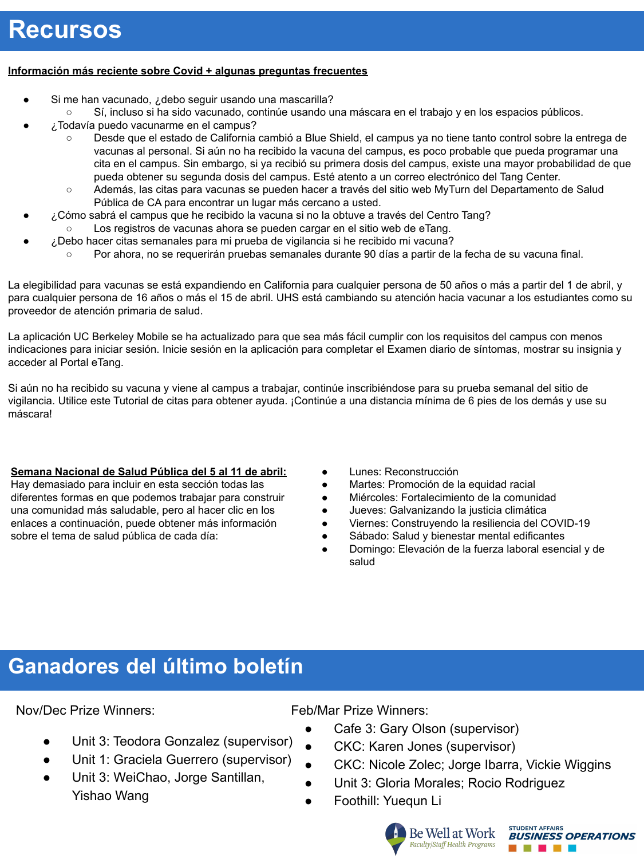#### **Información más reciente sobre Covid + algunas preguntas frecuentes**

- Si me han vacunado, ¿debo seguir usando una mascarilla?
	- Sí, incluso si ha sido vacunado, continúe usando una máscara en el trabajo y en los espacios públicos.
- ¿Todavía puedo vacunarme en el campus?
	- Desde que el estado de California cambió a Blue Shield, el campus ya no tiene tanto control sobre la entrega de vacunas al personal. Si aún no ha recibido la vacuna del campus, es poco probable que pueda programar una cita en el campus. Sin embargo, si ya recibió su primera dosis del campus, existe una mayor probabilidad de que pueda obtener su segunda dosis del campus. Esté atento a un correo electrónico del Tang Center.
	- Además, las citas para vacunas se pueden hacer a través del sitio web MyTurn del Departamento de Salud Pública de CA para encontrar un lugar más cercano a usted.
- ¿Cómo sabrá el campus que he recibido la vacuna si no la obtuve a través del Centro Tang? Los registros de vacunas ahora se pueden cargar en el sitio web de eTang.
	- ¿Debo hacer citas semanales para mi prueba de vigilancia si he recibido mi vacuna?
		- Por ahora, no se requerirán pruebas semanales durante 90 días a partir de la fecha de su vacuna final.

La elegibilidad para vacunas se está expandiendo en California para cualquier persona de 50 años o más a partir del 1 de abril, y para cualquier persona de 16 años o más el 15 de abril. UHS está cambiando su atención hacia vacunar a los estudiantes como su proveedor de atención primaria de salud.

La aplicación UC Berkeley Mobile se ha actualizado para que sea más fácil cumplir con los requisitos del campus con menos indicaciones para iniciar sesión. Inicie sesión en la aplicación para completar el Examen diario de síntomas, mostrar su insignia y acceder al Portal eTang.

Si aún no ha recibido su vacuna y viene al campus a trabajar, continúe inscribiéndose para su prueba semanal del sitio de vigilancia. Utilice este Tutorial de citas para obtener ayuda. ¡Continúe a una distancia mínima de 6 pies de los demás y use su máscara!

#### **Semana Nacional de Salud Pública del 5 al 11 de abril:**

Hay demasiado para incluir en esta sección todas las diferentes formas en que podemos trabajar para construir una comunidad más saludable, pero al hacer clic en los enlaces a continuación, puede obtener más información sobre el tema de salud pública de cada día:

- Lunes: Reconstrucción
- Martes: Promoción de la equidad racial
- Miércoles: Fortalecimiento de la comunidad
- Jueves: Galvanizando la justicia climática
- Viernes: Construyendo la resiliencia del COVID-19
- Sábado: Salud y bienestar mental edificantes
- Domingo: Elevación de la fuerza laboral esencial y de salud

## **Ganadores del último boletín**

Nov/Dec Prize Winners:

- Unit 3: Teodora Gonzalez (supervisor)
- Unit 1: Graciela Guerrero (supervisor)
- Unit 3: WeiChao, Jorge Santillan, Yishao Wang

#### Feb/Mar Prize Winners:

- Cafe 3: Gary Olson (supervisor)
- CKC: Karen Jones (supervisor)
- CKC: Nicole Zolec; Jorge Ibarra, Vickie Wiggins
- Unit 3: Gloria Morales; Rocio Rodriguez
- Foothill: Yuequn Li



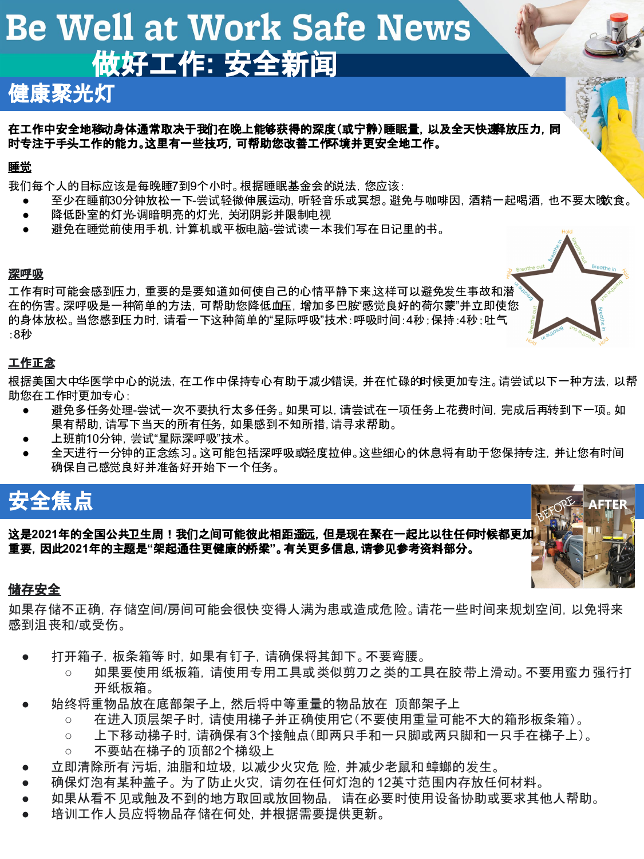# **Be Well at Work Safe News** 做好工作**:** 安全新闻

## 健康聚光灯

在工作中安全地移动身体通常取决于我们在晚上能够获得的深度(或宁静)睡眠量, 以及全天快速释放压力, 同 时专注于手头工作的能力。这里有一些技巧,可帮助您改善工作环境并更安全地工作。

#### 睡觉

我们每个人的目标应该是每晚睡7到9个小时。根据睡眠基金会的说法,您应该:

- 至少在睡前30分钟放松一下-尝试轻微伸展运动, 听轻音乐或冥想。避免与咖啡因, 酒精一起喝酒, 也不要太晚(食。
- 降低卧室的灯光-调暗明亮的灯光, 关闭阴影并限制电视
- 避免在睡觉前使用手机, 计算机或平板电脑-尝试读一本我们写在日记里的书。

#### 深呼吸

工作有时可能会感到压力,重要的是要知道如何使自己的心情平静下来,这样可以避免发生事故和潜 在的伤害。深呼吸是一种简单的方法,可帮助您降低血压,增加多巴胺"感觉良好的荷尔蒙"并立即使您 的身体放松。当您感到压力时,请看一下这种简单的"星际呼吸"技术:呼吸时间:4秒;保持:4秒;吐气 :8秒

#### 工作正念

根据美国大中华医学中心的说法,在工作中保持专心有助于减少错误,并在忙碌的时候更加专注。请尝试以下一种方法,以帮 助您在工作时更加专心:

- 避免多任务处理-尝试一次不要执行太多任务。如果可以, 请尝试在一项任务上花费时间, 完成后再转到下一项。如 果有帮助,请写下当天的所有任务,如果感到不知所措,请寻求帮助。
- 上班前10分钟, 尝试"星际深呼吸"技术。
- 全天进行一分钟的正念练习。这可能包括深呼吸或轻度拉伸。这些细心的休息将有助于您保持专注,并让您有时间 确保自己感觉良好并准备好开始下一个任务。

# 安全焦点

这是2021年的全国公共卫生周!我们之间可能彼此相距遥远, 但是现在聚在一起比以往任何时候都更加<mark>.</mark> 重要,因此**2021**年的主题是**"**架起通往更健康的桥梁**"**。有关更多信息,请参见参考资料部分。

#### 储存安全

如果存储不正确, 存储空间/房间可能会很快变得人满为患或造成危险。请花一些时间来规划空间, 以免将来 感到沮丧和/或受伤。

- 打开箱子, 板条箱等 时, 如果有钉子, 请确保将其卸下。不要弯腰。
	- 如果要使用纸板箱,请使用专用工具或类似剪刀之类的工具在胶带上滑动。不要用蛮力强行打 开纸板箱。
- 始终将重物品放在底部架子上, 然后将中等重量的物品放在 顶部架子上
	- 在进入顶层架子时, 请使用梯子并正确使用它(不要使用重量可能不大的箱形板条箱)。
	- 上下移动梯子时, 请确保有3个接触点(即两只手和一只脚或两只脚和一只手在梯子上)。
	- 不要站在梯子的 顶部2个梯级上
- 立即清除所有 污垢, 油脂和垃圾, 以减少火灾危 险, 并减少老鼠和 蟑螂的发生。
- 确保灯泡有某种盖子。 为了防止火灾, 请勿在任何灯泡的 12英寸范围内存放任何材料。
- 如果从看不见或触及不到的地方取回或放回物品。请在必要时使用设备协助或要求其他人帮助。
- 培训工作人员应将物品存储在何处,并根据需要提供更新。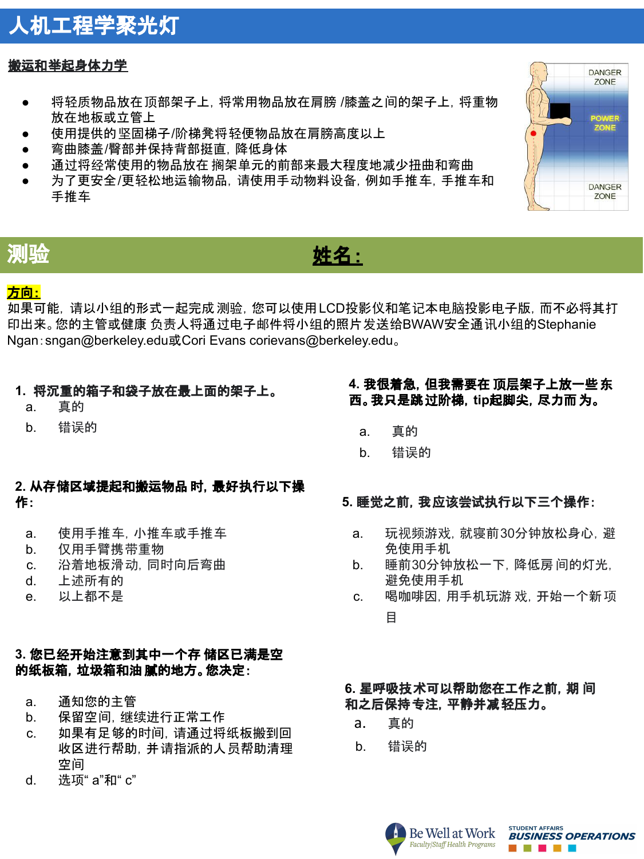## 人机工程学聚光灯

#### 搬运和举起身体力学

- 将轻质物品放在顶部架子上,将常用物品放在肩膀 /膝盖之间的架子上,将重物 放在地板或立管上
- 使用提供的坚固梯子/阶梯凳将轻便物品放在肩膀高度以上
- 弯曲膝盖/臀部并保持背部挺直, 降低身体
- 通过将经常使用的物品放在 搁架单元的前部来最大程度地减少扭曲和弯曲
- 为了更安全/更轻松地运输物品,请使用手动物料设备,例如手推车,手推车和 手推车



## 测验 姓名:

### 方向:

如果可能,请以小组的形式一起完成测验,您可以使用LCD投影仪和笔记本电脑投影电子版,而不必将其打 印出来。您的主管或健康 负责人将通过电子邮件将小组的照片发送给BWAW安全通讯小组的Stephanie Ngan:sngan@berkeley.edu或Cori Evans corievans@berkeley.edu。

#### **1.** 将沉重的箱子和袋子放在最上面的架子上。

- a. 真的
- b. 错误的

#### **2.** 从存储区域提起和搬运物品 时,最好执行以下操 作:

- a. 使用手推车,小推车或手推车
- b. 仅用手臂携带重物
- c. 沿着地板滑动,同时向后弯曲
- d. 上述所有的
- e. 以上都不是

#### **3.** 您已经开始注意到其中一个存 储区已满是空 的纸板箱,垃圾箱和油 腻的地方。您决定:

- a. 通知您的主管
- b. 保留空间,继续进行正常工作
- c. 如果有足够的时间,请通过将纸板搬到回 收区进行帮助,并请指派的人员帮助清理 空间
- d. 选项" a"和" c"

#### **4.** 我很着急,但我需要在 顶层架子上放一些东 西。我只是跳过阶梯,**tip**起脚尖,尽力而为。

- a. 真的
- b. 错误的

#### **5.** 睡觉之前,我应该尝试执行以下三个操作:

- a. 玩视频游戏,就寝前30分钟放松身心,避 免使用手机
- b. 睡前30分钟放松一下,降低房 间的灯光, 避免使用手机
- c. 喝咖啡因,用手机玩游 戏,开始一个新项 目

#### **6.** 星呼吸技术可以帮助您在工作之前,期 间 和之后保持专注,平静并减轻压力。

- a. 真的
- b. 错误的